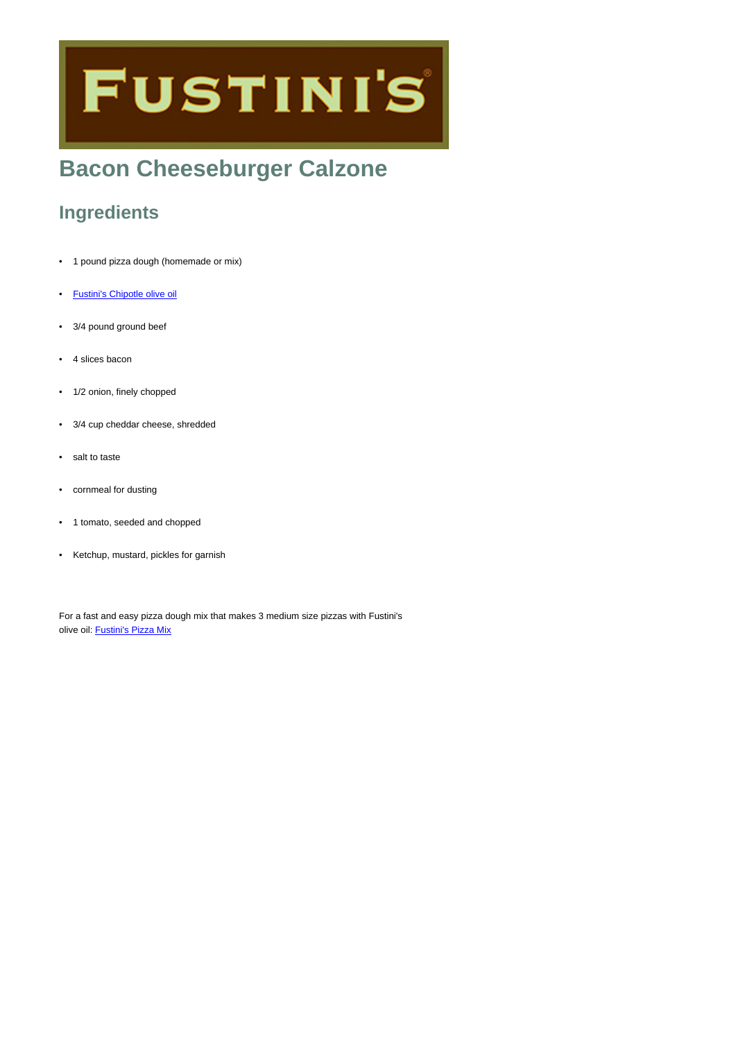# **FUSTINI'S**

## **Bacon Cheeseburger Calzone**

## **Ingredients**

- 1 pound pizza dough (homemade or mix)
- [Fustini's Chipotle olive oil](https://www.fustinis.com/order/chipotle_98/)
- 3/4 pound ground beef
- 4 slices bacon
- 1/2 onion, finely chopped
- 3/4 cup cheddar cheese, shredded
- salt to taste
- cornmeal for dusting
- 1 tomato, seeded and chopped
- Ketchup, mustard, pickles for garnish

For a fast and easy pizza dough mix that makes 3 medium size pizzas with Fustini's olive oil: [Fustini's Pizza Mix](https://www.fustinis.com/order/quick-rise-pizza-dough-mix_2468/)